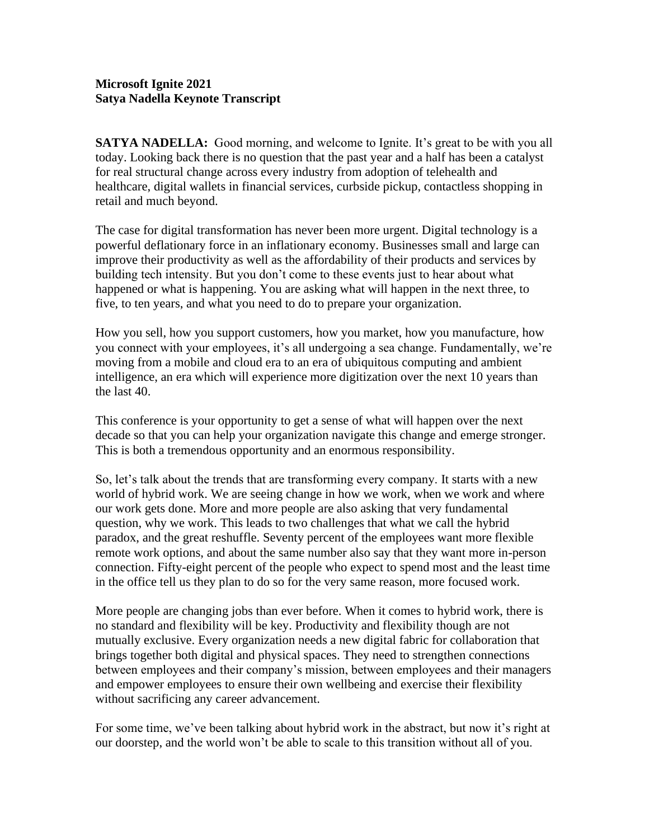## **Microsoft Ignite 2021 Satya Nadella Keynote Transcript**

**SATYA NADELLA:** Good morning, and welcome to Ignite. It's great to be with you all today. Looking back there is no question that the past year and a half has been a catalyst for real structural change across every industry from adoption of telehealth and healthcare, digital wallets in financial services, curbside pickup, contactless shopping in retail and much beyond.

The case for digital transformation has never been more urgent. Digital technology is a powerful deflationary force in an inflationary economy. Businesses small and large can improve their productivity as well as the affordability of their products and services by building tech intensity. But you don't come to these events just to hear about what happened or what is happening. You are asking what will happen in the next three, to five, to ten years, and what you need to do to prepare your organization.

How you sell, how you support customers, how you market, how you manufacture, how you connect with your employees, it's all undergoing a sea change. Fundamentally, we're moving from a mobile and cloud era to an era of ubiquitous computing and ambient intelligence, an era which will experience more digitization over the next 10 years than the last 40.

This conference is your opportunity to get a sense of what will happen over the next decade so that you can help your organization navigate this change and emerge stronger. This is both a tremendous opportunity and an enormous responsibility.

So, let's talk about the trends that are transforming every company. It starts with a new world of hybrid work. We are seeing change in how we work, when we work and where our work gets done. More and more people are also asking that very fundamental question, why we work. This leads to two challenges that what we call the hybrid paradox, and the great reshuffle. Seventy percent of the employees want more flexible remote work options, and about the same number also say that they want more in-person connection. Fifty-eight percent of the people who expect to spend most and the least time in the office tell us they plan to do so for the very same reason, more focused work.

More people are changing jobs than ever before. When it comes to hybrid work, there is no standard and flexibility will be key. Productivity and flexibility though are not mutually exclusive. Every organization needs a new digital fabric for collaboration that brings together both digital and physical spaces. They need to strengthen connections between employees and their company's mission, between employees and their managers and empower employees to ensure their own wellbeing and exercise their flexibility without sacrificing any career advancement.

For some time, we've been talking about hybrid work in the abstract, but now it's right at our doorstep, and the world won't be able to scale to this transition without all of you.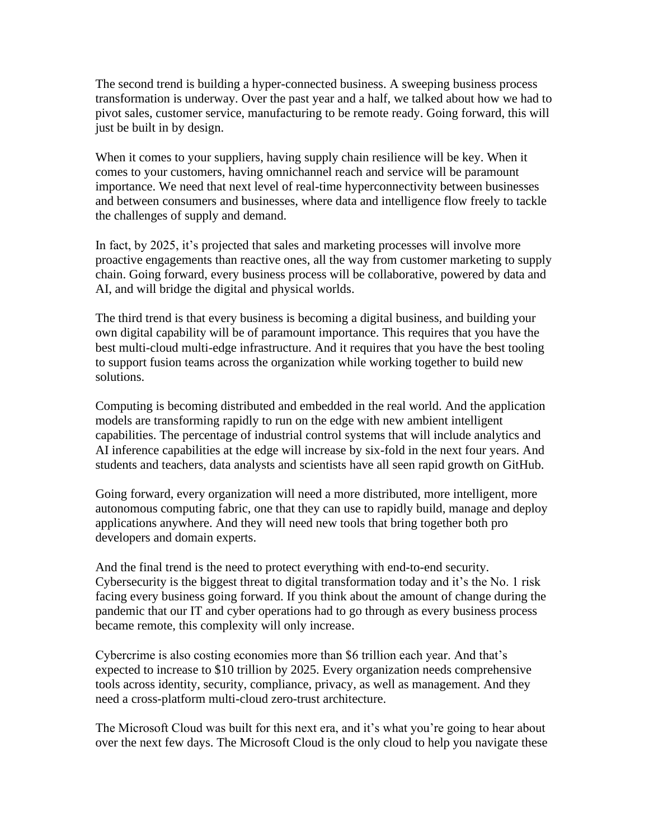The second trend is building a hyper-connected business. A sweeping business process transformation is underway. Over the past year and a half, we talked about how we had to pivot sales, customer service, manufacturing to be remote ready. Going forward, this will just be built in by design.

When it comes to your suppliers, having supply chain resilience will be key. When it comes to your customers, having omnichannel reach and service will be paramount importance. We need that next level of real-time hyperconnectivity between businesses and between consumers and businesses, where data and intelligence flow freely to tackle the challenges of supply and demand.

In fact, by 2025, it's projected that sales and marketing processes will involve more proactive engagements than reactive ones, all the way from customer marketing to supply chain. Going forward, every business process will be collaborative, powered by data and AI, and will bridge the digital and physical worlds.

The third trend is that every business is becoming a digital business, and building your own digital capability will be of paramount importance. This requires that you have the best multi-cloud multi-edge infrastructure. And it requires that you have the best tooling to support fusion teams across the organization while working together to build new solutions.

Computing is becoming distributed and embedded in the real world. And the application models are transforming rapidly to run on the edge with new ambient intelligent capabilities. The percentage of industrial control systems that will include analytics and AI inference capabilities at the edge will increase by six-fold in the next four years. And students and teachers, data analysts and scientists have all seen rapid growth on GitHub.

Going forward, every organization will need a more distributed, more intelligent, more autonomous computing fabric, one that they can use to rapidly build, manage and deploy applications anywhere. And they will need new tools that bring together both pro developers and domain experts.

And the final trend is the need to protect everything with end-to-end security. Cybersecurity is the biggest threat to digital transformation today and it's the No. 1 risk facing every business going forward. If you think about the amount of change during the pandemic that our IT and cyber operations had to go through as every business process became remote, this complexity will only increase.

Cybercrime is also costing economies more than \$6 trillion each year. And that's expected to increase to \$10 trillion by 2025. Every organization needs comprehensive tools across identity, security, compliance, privacy, as well as management. And they need a cross-platform multi-cloud zero-trust architecture.

The Microsoft Cloud was built for this next era, and it's what you're going to hear about over the next few days. The Microsoft Cloud is the only cloud to help you navigate these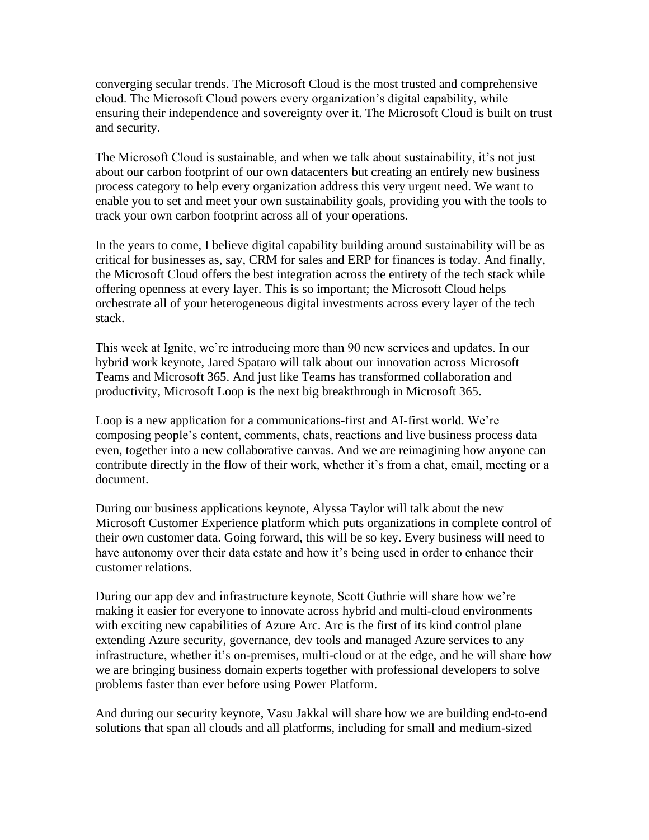converging secular trends. The Microsoft Cloud is the most trusted and comprehensive cloud. The Microsoft Cloud powers every organization's digital capability, while ensuring their independence and sovereignty over it. The Microsoft Cloud is built on trust and security.

The Microsoft Cloud is sustainable, and when we talk about sustainability, it's not just about our carbon footprint of our own datacenters but creating an entirely new business process category to help every organization address this very urgent need. We want to enable you to set and meet your own sustainability goals, providing you with the tools to track your own carbon footprint across all of your operations.

In the years to come, I believe digital capability building around sustainability will be as critical for businesses as, say, CRM for sales and ERP for finances is today. And finally, the Microsoft Cloud offers the best integration across the entirety of the tech stack while offering openness at every layer. This is so important; the Microsoft Cloud helps orchestrate all of your heterogeneous digital investments across every layer of the tech stack.

This week at Ignite, we're introducing more than 90 new services and updates. In our hybrid work keynote, Jared Spataro will talk about our innovation across Microsoft Teams and Microsoft 365. And just like Teams has transformed collaboration and productivity, Microsoft Loop is the next big breakthrough in Microsoft 365.

Loop is a new application for a communications-first and AI-first world. We're composing people's content, comments, chats, reactions and live business process data even, together into a new collaborative canvas. And we are reimagining how anyone can contribute directly in the flow of their work, whether it's from a chat, email, meeting or a document.

During our business applications keynote, Alyssa Taylor will talk about the new Microsoft Customer Experience platform which puts organizations in complete control of their own customer data. Going forward, this will be so key. Every business will need to have autonomy over their data estate and how it's being used in order to enhance their customer relations.

During our app dev and infrastructure keynote, Scott Guthrie will share how we're making it easier for everyone to innovate across hybrid and multi-cloud environments with exciting new capabilities of Azure Arc. Arc is the first of its kind control plane extending Azure security, governance, dev tools and managed Azure services to any infrastructure, whether it's on-premises, multi-cloud or at the edge, and he will share how we are bringing business domain experts together with professional developers to solve problems faster than ever before using Power Platform.

And during our security keynote, Vasu Jakkal will share how we are building end-to-end solutions that span all clouds and all platforms, including for small and medium-sized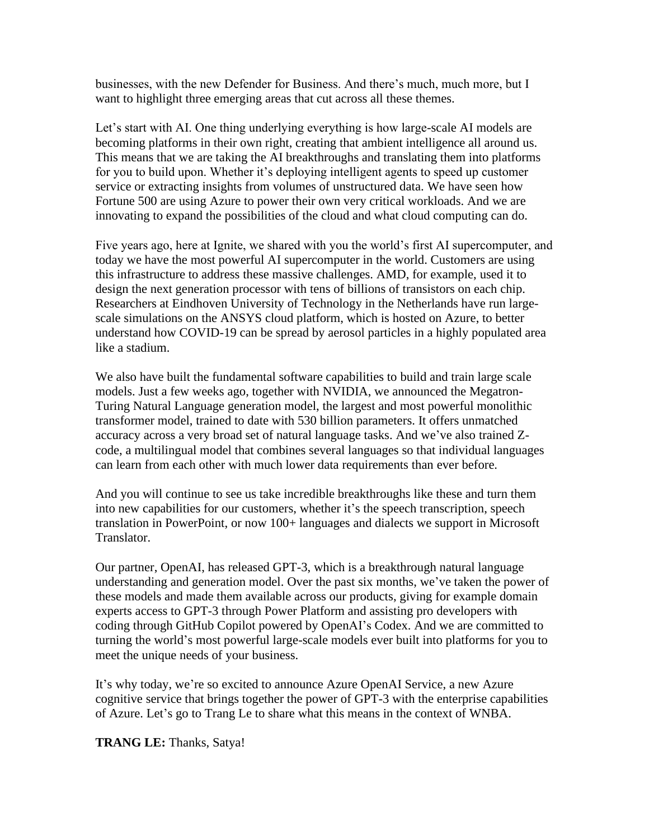businesses, with the new Defender for Business. And there's much, much more, but I want to highlight three emerging areas that cut across all these themes.

Let's start with AI. One thing underlying everything is how large-scale AI models are becoming platforms in their own right, creating that ambient intelligence all around us. This means that we are taking the AI breakthroughs and translating them into platforms for you to build upon. Whether it's deploying intelligent agents to speed up customer service or extracting insights from volumes of unstructured data. We have seen how Fortune 500 are using Azure to power their own very critical workloads. And we are innovating to expand the possibilities of the cloud and what cloud computing can do.

Five years ago, here at Ignite, we shared with you the world's first AI supercomputer, and today we have the most powerful AI supercomputer in the world. Customers are using this infrastructure to address these massive challenges. AMD, for example, used it to design the next generation processor with tens of billions of transistors on each chip. Researchers at Eindhoven University of Technology in the Netherlands have run largescale simulations on the ANSYS cloud platform, which is hosted on Azure, to better understand how COVID-19 can be spread by aerosol particles in a highly populated area like a stadium.

We also have built the fundamental software capabilities to build and train large scale models. Just a few weeks ago, together with NVIDIA, we announced the Megatron-Turing Natural Language generation model, the largest and most powerful monolithic transformer model, trained to date with 530 billion parameters. It offers unmatched accuracy across a very broad set of natural language tasks. And we've also trained Zcode, a multilingual model that combines several languages so that individual languages can learn from each other with much lower data requirements than ever before.

And you will continue to see us take incredible breakthroughs like these and turn them into new capabilities for our customers, whether it's the speech transcription, speech translation in PowerPoint, or now 100+ languages and dialects we support in Microsoft Translator.

Our partner, OpenAI, has released GPT-3, which is a breakthrough natural language understanding and generation model. Over the past six months, we've taken the power of these models and made them available across our products, giving for example domain experts access to GPT-3 through Power Platform and assisting pro developers with coding through GitHub Copilot powered by OpenAI's Codex. And we are committed to turning the world's most powerful large-scale models ever built into platforms for you to meet the unique needs of your business.

It's why today, we're so excited to announce Azure OpenAI Service, a new Azure cognitive service that brings together the power of GPT-3 with the enterprise capabilities of Azure. Let's go to Trang Le to share what this means in the context of WNBA.

**TRANG LE:** Thanks, Satya!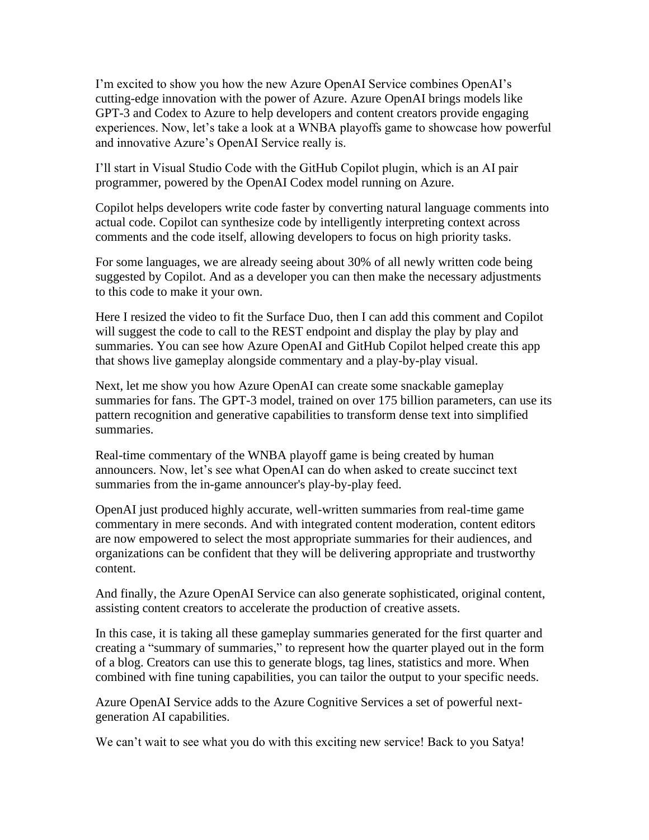I'm excited to show you how the new Azure OpenAI Service combines OpenAI's cutting-edge innovation with the power of Azure. Azure OpenAI brings models like GPT-3 and Codex to Azure to help developers and content creators provide engaging experiences. Now, let's take a look at a WNBA playoffs game to showcase how powerful and innovative Azure's OpenAI Service really is.

I'll start in Visual Studio Code with the GitHub Copilot plugin, which is an AI pair programmer, powered by the OpenAI Codex model running on Azure.

Copilot helps developers write code faster by converting natural language comments into actual code. Copilot can synthesize code by intelligently interpreting context across comments and the code itself, allowing developers to focus on high priority tasks.

For some languages, we are already seeing about 30% of all newly written code being suggested by Copilot. And as a developer you can then make the necessary adjustments to this code to make it your own.

Here I resized the video to fit the Surface Duo, then I can add this comment and Copilot will suggest the code to call to the REST endpoint and display the play by play and summaries. You can see how Azure OpenAI and GitHub Copilot helped create this app that shows live gameplay alongside commentary and a play-by-play visual.

Next, let me show you how Azure OpenAI can create some snackable gameplay summaries for fans. The GPT-3 model, trained on over 175 billion parameters, can use its pattern recognition and generative capabilities to transform dense text into simplified summaries.

Real-time commentary of the WNBA playoff game is being created by human announcers. Now, let's see what OpenAI can do when asked to create succinct text summaries from the in-game announcer's play-by-play feed.

OpenAI just produced highly accurate, well-written summaries from real-time game commentary in mere seconds. And with integrated content moderation, content editors are now empowered to select the most appropriate summaries for their audiences, and organizations can be confident that they will be delivering appropriate and trustworthy content.

And finally, the Azure OpenAI Service can also generate sophisticated, original content, assisting content creators to accelerate the production of creative assets.

In this case, it is taking all these gameplay summaries generated for the first quarter and creating a "summary of summaries," to represent how the quarter played out in the form of a blog. Creators can use this to generate blogs, tag lines, statistics and more. When combined with fine tuning capabilities, you can tailor the output to your specific needs.

Azure OpenAI Service adds to the Azure Cognitive Services a set of powerful nextgeneration AI capabilities.

We can't wait to see what you do with this exciting new service! Back to you Satya!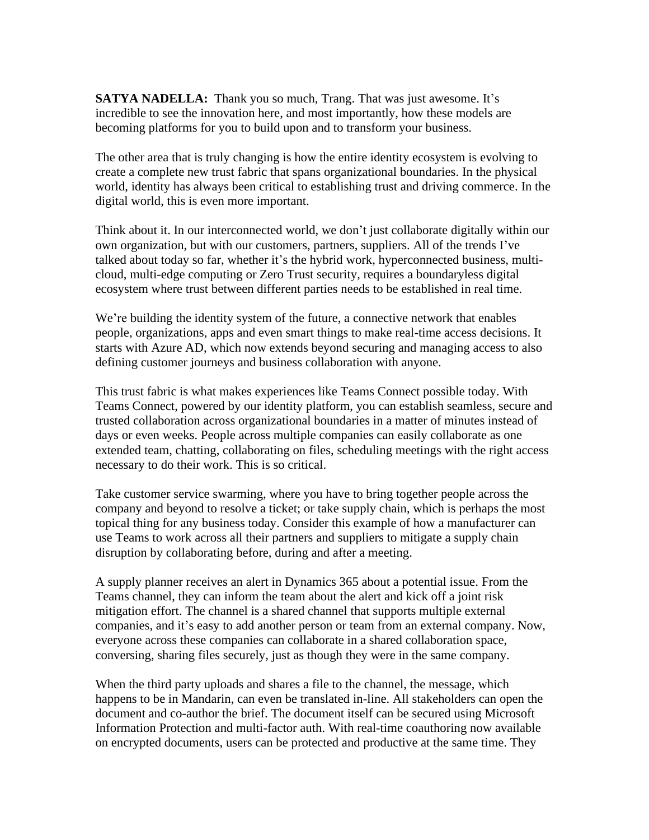**SATYA NADELLA:** Thank you so much, Trang. That was just awesome. It's incredible to see the innovation here, and most importantly, how these models are becoming platforms for you to build upon and to transform your business.

The other area that is truly changing is how the entire identity ecosystem is evolving to create a complete new trust fabric that spans organizational boundaries. In the physical world, identity has always been critical to establishing trust and driving commerce. In the digital world, this is even more important.

Think about it. In our interconnected world, we don't just collaborate digitally within our own organization, but with our customers, partners, suppliers. All of the trends I've talked about today so far, whether it's the hybrid work, hyperconnected business, multicloud, multi-edge computing or Zero Trust security, requires a boundaryless digital ecosystem where trust between different parties needs to be established in real time.

We're building the identity system of the future, a connective network that enables people, organizations, apps and even smart things to make real-time access decisions. It starts with Azure AD, which now extends beyond securing and managing access to also defining customer journeys and business collaboration with anyone.

This trust fabric is what makes experiences like Teams Connect possible today. With Teams Connect, powered by our identity platform, you can establish seamless, secure and trusted collaboration across organizational boundaries in a matter of minutes instead of days or even weeks. People across multiple companies can easily collaborate as one extended team, chatting, collaborating on files, scheduling meetings with the right access necessary to do their work. This is so critical.

Take customer service swarming, where you have to bring together people across the company and beyond to resolve a ticket; or take supply chain, which is perhaps the most topical thing for any business today. Consider this example of how a manufacturer can use Teams to work across all their partners and suppliers to mitigate a supply chain disruption by collaborating before, during and after a meeting.

A supply planner receives an alert in Dynamics 365 about a potential issue. From the Teams channel, they can inform the team about the alert and kick off a joint risk mitigation effort. The channel is a shared channel that supports multiple external companies, and it's easy to add another person or team from an external company. Now, everyone across these companies can collaborate in a shared collaboration space, conversing, sharing files securely, just as though they were in the same company.

When the third party uploads and shares a file to the channel, the message, which happens to be in Mandarin, can even be translated in-line. All stakeholders can open the document and co-author the brief. The document itself can be secured using Microsoft Information Protection and multi-factor auth. With real-time coauthoring now available on encrypted documents, users can be protected and productive at the same time. They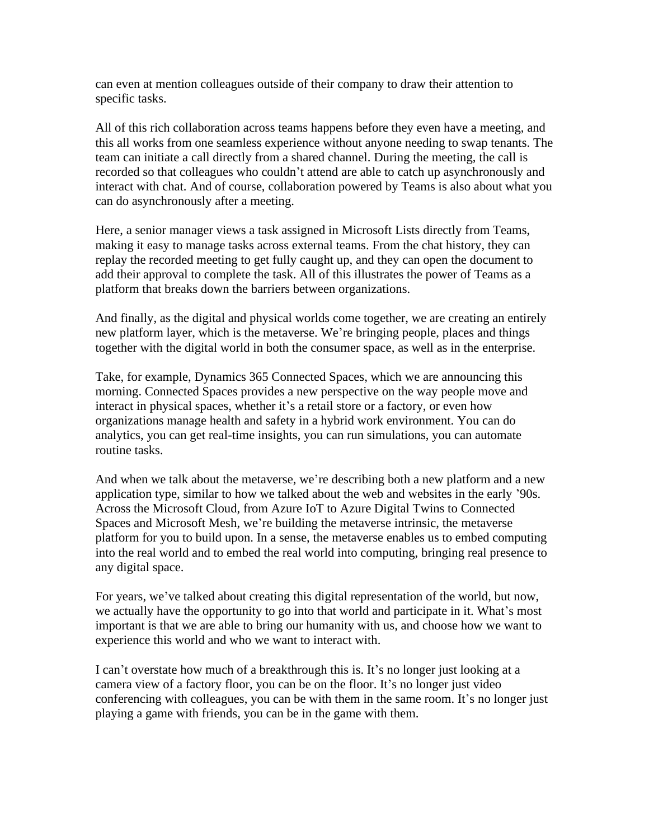can even at mention colleagues outside of their company to draw their attention to specific tasks.

All of this rich collaboration across teams happens before they even have a meeting, and this all works from one seamless experience without anyone needing to swap tenants. The team can initiate a call directly from a shared channel. During the meeting, the call is recorded so that colleagues who couldn't attend are able to catch up asynchronously and interact with chat. And of course, collaboration powered by Teams is also about what you can do asynchronously after a meeting.

Here, a senior manager views a task assigned in Microsoft Lists directly from Teams, making it easy to manage tasks across external teams. From the chat history, they can replay the recorded meeting to get fully caught up, and they can open the document to add their approval to complete the task. All of this illustrates the power of Teams as a platform that breaks down the barriers between organizations.

And finally, as the digital and physical worlds come together, we are creating an entirely new platform layer, which is the metaverse. We're bringing people, places and things together with the digital world in both the consumer space, as well as in the enterprise.

Take, for example, Dynamics 365 Connected Spaces, which we are announcing this morning. Connected Spaces provides a new perspective on the way people move and interact in physical spaces, whether it's a retail store or a factory, or even how organizations manage health and safety in a hybrid work environment. You can do analytics, you can get real-time insights, you can run simulations, you can automate routine tasks.

And when we talk about the metaverse, we're describing both a new platform and a new application type, similar to how we talked about the web and websites in the early '90s. Across the Microsoft Cloud, from Azure IoT to Azure Digital Twins to Connected Spaces and Microsoft Mesh, we're building the metaverse intrinsic, the metaverse platform for you to build upon. In a sense, the metaverse enables us to embed computing into the real world and to embed the real world into computing, bringing real presence to any digital space.

For years, we've talked about creating this digital representation of the world, but now, we actually have the opportunity to go into that world and participate in it. What's most important is that we are able to bring our humanity with us, and choose how we want to experience this world and who we want to interact with.

I can't overstate how much of a breakthrough this is. It's no longer just looking at a camera view of a factory floor, you can be on the floor. It's no longer just video conferencing with colleagues, you can be with them in the same room. It's no longer just playing a game with friends, you can be in the game with them.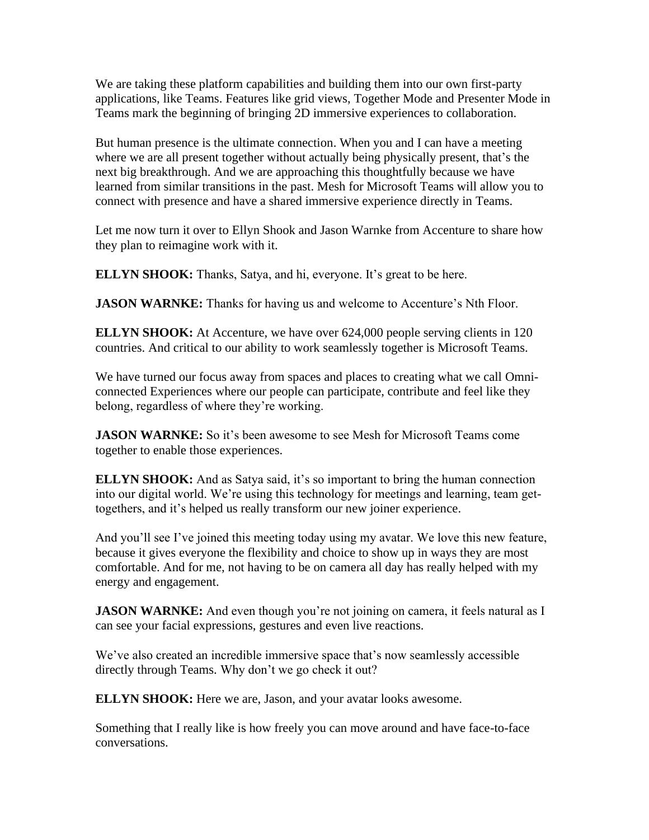We are taking these platform capabilities and building them into our own first-party applications, like Teams. Features like grid views, Together Mode and Presenter Mode in Teams mark the beginning of bringing 2D immersive experiences to collaboration.

But human presence is the ultimate connection. When you and I can have a meeting where we are all present together without actually being physically present, that's the next big breakthrough. And we are approaching this thoughtfully because we have learned from similar transitions in the past. Mesh for Microsoft Teams will allow you to connect with presence and have a shared immersive experience directly in Teams.

Let me now turn it over to Ellyn Shook and Jason Warnke from Accenture to share how they plan to reimagine work with it.

**ELLYN SHOOK:** Thanks, Satya, and hi, everyone. It's great to be here.

**JASON WARNKE:** Thanks for having us and welcome to Accenture's Nth Floor.

**ELLYN SHOOK:** At Accenture, we have over 624,000 people serving clients in 120 countries. And critical to our ability to work seamlessly together is Microsoft Teams.

We have turned our focus away from spaces and places to creating what we call Omniconnected Experiences where our people can participate, contribute and feel like they belong, regardless of where they're working.

**JASON WARNKE:** So it's been awesome to see Mesh for Microsoft Teams come together to enable those experiences.

**ELLYN SHOOK:** And as Satya said, it's so important to bring the human connection into our digital world. We're using this technology for meetings and learning, team gettogethers, and it's helped us really transform our new joiner experience.

And you'll see I've joined this meeting today using my avatar. We love this new feature, because it gives everyone the flexibility and choice to show up in ways they are most comfortable. And for me, not having to be on camera all day has really helped with my energy and engagement.

**JASON WARNKE:** And even though you're not joining on camera, it feels natural as I can see your facial expressions, gestures and even live reactions.

We've also created an incredible immersive space that's now seamlessly accessible directly through Teams. Why don't we go check it out?

**ELLYN SHOOK:** Here we are, Jason, and your avatar looks awesome.

Something that I really like is how freely you can move around and have face-to-face conversations.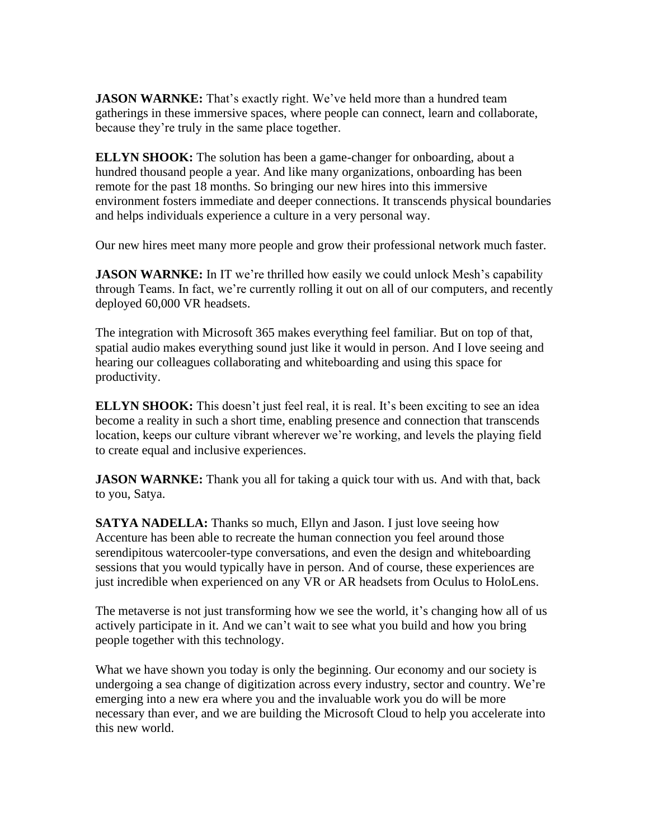**JASON WARNKE:** That's exactly right. We've held more than a hundred team gatherings in these immersive spaces, where people can connect, learn and collaborate, because they're truly in the same place together.

**ELLYN SHOOK:** The solution has been a game-changer for onboarding, about a hundred thousand people a year. And like many organizations, onboarding has been remote for the past 18 months. So bringing our new hires into this immersive environment fosters immediate and deeper connections. It transcends physical boundaries and helps individuals experience a culture in a very personal way.

Our new hires meet many more people and grow their professional network much faster.

**JASON WARNKE:** In IT we're thrilled how easily we could unlock Mesh's capability through Teams. In fact, we're currently rolling it out on all of our computers, and recently deployed 60,000 VR headsets.

The integration with Microsoft 365 makes everything feel familiar. But on top of that, spatial audio makes everything sound just like it would in person. And I love seeing and hearing our colleagues collaborating and whiteboarding and using this space for productivity.

**ELLYN SHOOK:** This doesn't just feel real, it is real. It's been exciting to see an idea become a reality in such a short time, enabling presence and connection that transcends location, keeps our culture vibrant wherever we're working, and levels the playing field to create equal and inclusive experiences.

**JASON WARNKE:** Thank you all for taking a quick tour with us. And with that, back to you, Satya.

**SATYA NADELLA:** Thanks so much, Ellyn and Jason. I just love seeing how Accenture has been able to recreate the human connection you feel around those serendipitous watercooler-type conversations, and even the design and whiteboarding sessions that you would typically have in person. And of course, these experiences are just incredible when experienced on any VR or AR headsets from Oculus to HoloLens.

The metaverse is not just transforming how we see the world, it's changing how all of us actively participate in it. And we can't wait to see what you build and how you bring people together with this technology.

What we have shown you today is only the beginning. Our economy and our society is undergoing a sea change of digitization across every industry, sector and country. We're emerging into a new era where you and the invaluable work you do will be more necessary than ever, and we are building the Microsoft Cloud to help you accelerate into this new world.